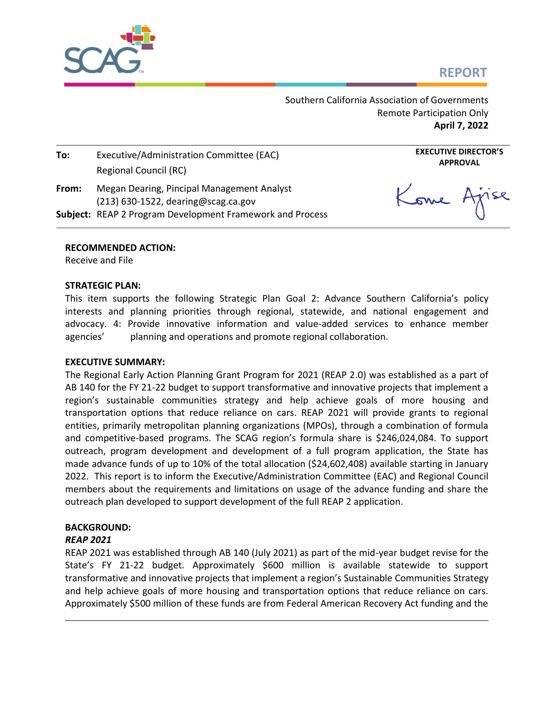# **REPORT**



Southern California Association of Governments Remote Participation Only **April 7, 2022**

| To:   | Executive/Administration Committee (EAC)<br>Regional Council (RC)                   |
|-------|-------------------------------------------------------------------------------------|
| From: | Megan Dearing, Pincipal Management Analyst<br>$(213)$ 630-1522, dearing@scag.ca.gov |
|       | Subject: REAP 2 Program Development Framework and Process                           |

Kome Ajise

**EXECUTIVE DIRECTOR'S APPROVAL**

#### **RECOMMENDED ACTION:**

Receive and File

### **STRATEGIC PLAN:**

This item supports the following Strategic Plan Goal 2: Advance Southern California's policy interests and planning priorities through regional, statewide, and national engagement and advocacy. 4: Provide innovative information and value-added services to enhance member agencies' planning and operations and promote regional collaboration.

### **EXECUTIVE SUMMARY:**

The Regional Early Action Planning Grant Program for 2021 (REAP 2.0) was established as a part of AB 140 for the FY 21-22 budget to support transformative and innovative projects that implement a region's sustainable communities strategy and help achieve goals of more housing and transportation options that reduce reliance on cars. REAP 2021 will provide grants to regional entities, primarily metropolitan planning organizations (MPOs), through a combination of formula and competitive-based programs. The SCAG region's formula share is \$246,024,084. To support outreach, program development and development of a full program application, the State has made advance funds of up to 10% of the total allocation (\$24,602,408) available starting in January 2022. This report is to inform the Executive/Administration Committee (EAC) and Regional Council members about the requirements and limitations on usage of the advance funding and share the outreach plan developed to support development of the full REAP 2 application.

# **BACKGROUND:**

### *REAP 2021*

REAP 2021 was established through AB 140 (July 2021) as part of the mid-year budget revise for the State's FY 21-22 budget. Approximately \$600 million is available statewide to support transformative and innovative projects that implement a region's Sustainable Communities Strategy and help achieve goals of more housing and transportation options that reduce reliance on cars. Approximately \$500 million of these funds are from Federal American Recovery Act funding and the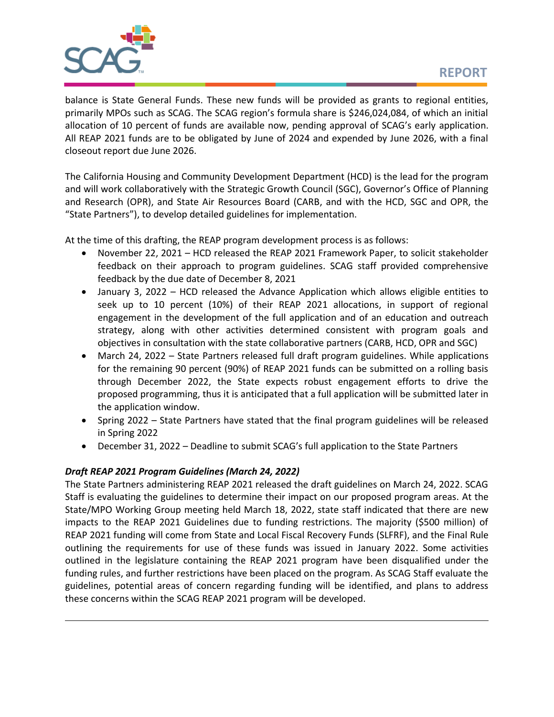balance is State General Funds. These new funds will be provided as grants to regional entities, primarily MPOs such as SCAG. The SCAG region's formula share is \$246,024,084, of which an initial allocation of 10 percent of funds are available now, pending approval of SCAG's early application. All REAP 2021 funds are to be obligated by June of 2024 and expended by June 2026, with a final closeout report due June 2026.

The California Housing and Community Development Department (HCD) is the lead for the program and will work collaboratively with the Strategic Growth Council (SGC), Governor's Office of Planning and Research (OPR), and State Air Resources Board (CARB, and with the HCD, SGC and OPR, the "State Partners"), to develop detailed guidelines for implementation.

At the time of this drafting, the REAP program development process is as follows:

- November 22, 2021 HCD released the REAP 2021 Framework Paper, to solicit stakeholder feedback on their approach to program guidelines. SCAG staff provided comprehensive feedback by the due date of December 8, 2021
- January 3, 2022 HCD released the Advance Application which allows eligible entities to seek up to 10 percent (10%) of their REAP 2021 allocations, in support of regional engagement in the development of the full application and of an education and outreach strategy, along with other activities determined consistent with program goals and objectives in consultation with the state collaborative partners (CARB, HCD, OPR and SGC)
- March 24, 2022 State Partners released full draft program guidelines. While applications for the remaining 90 percent (90%) of REAP 2021 funds can be submitted on a rolling basis through December 2022, the State expects robust engagement efforts to drive the proposed programming, thus it is anticipated that a full application will be submitted later in the application window.
- Spring 2022 State Partners have stated that the final program guidelines will be released in Spring 2022
- December 31, 2022 Deadline to submit SCAG's full application to the State Partners

# *Draft REAP 2021 Program Guidelines (March 24, 2022)*

The State Partners administering REAP 2021 released the draft guidelines on March 24, 2022. SCAG Staff is evaluating the guidelines to determine their impact on our proposed program areas. At the State/MPO Working Group meeting held March 18, 2022, state staff indicated that there are new impacts to the REAP 2021 Guidelines due to funding restrictions. The majority (\$500 million) of REAP 2021 funding will come from State and Local Fiscal Recovery Funds (SLFRF), and the Final Rule outlining the requirements for use of these funds was issued in January 2022. Some activities outlined in the legislature containing the REAP 2021 program have been disqualified under the funding rules, and further restrictions have been placed on the program. As SCAG Staff evaluate the guidelines, potential areas of concern regarding funding will be identified, and plans to address these concerns within the SCAG REAP 2021 program will be developed.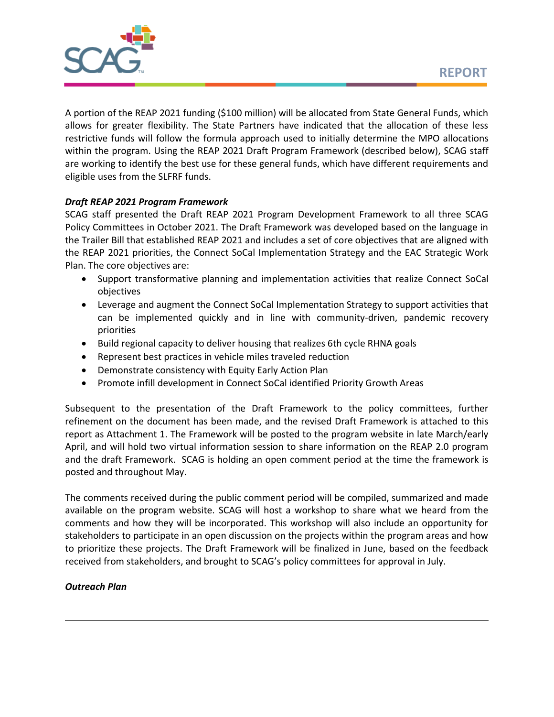

A portion of the REAP 2021 funding (\$100 million) will be allocated from State General Funds, which allows for greater flexibility. The State Partners have indicated that the allocation of these less restrictive funds will follow the formula approach used to initially determine the MPO allocations within the program. Using the REAP 2021 Draft Program Framework (described below), SCAG staff are working to identify the best use for these general funds, which have different requirements and eligible uses from the SLFRF funds.

# *Draft REAP 2021 Program Framework*

SCAG staff presented the Draft REAP 2021 Program Development Framework to all three SCAG Policy Committees in October 2021. The Draft Framework was developed based on the language in the Trailer Bill that established REAP 2021 and includes a set of core objectives that are aligned with the REAP 2021 priorities, the Connect SoCal Implementation Strategy and the EAC Strategic Work Plan. The core objectives are:

- Support transformative planning and implementation activities that realize Connect SoCal objectives
- Leverage and augment the Connect SoCal Implementation Strategy to support activities that can be implemented quickly and in line with community-driven, pandemic recovery priorities
- Build regional capacity to deliver housing that realizes 6th cycle RHNA goals
- Represent best practices in vehicle miles traveled reduction
- Demonstrate consistency with Equity Early Action Plan
- Promote infill development in Connect SoCal identified Priority Growth Areas

Subsequent to the presentation of the Draft Framework to the policy committees, further refinement on the document has been made, and the revised Draft Framework is attached to this report as Attachment 1. The Framework will be posted to the program website in late March/early April, and will hold two virtual information session to share information on the REAP 2.0 program and the draft Framework. SCAG is holding an open comment period at the time the framework is posted and throughout May.

The comments received during the public comment period will be compiled, summarized and made available on the program website. SCAG will host a workshop to share what we heard from the comments and how they will be incorporated. This workshop will also include an opportunity for stakeholders to participate in an open discussion on the projects within the program areas and how to prioritize these projects. The Draft Framework will be finalized in June, based on the feedback received from stakeholders, and brought to SCAG's policy committees for approval in July.

### *Outreach Plan*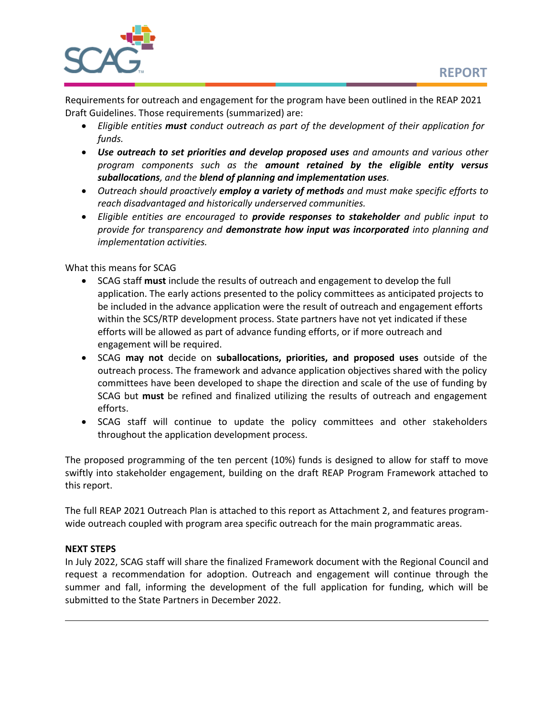

Requirements for outreach and engagement for the program have been outlined in the REAP 2021 Draft Guidelines. Those requirements (summarized) are:

- *Eligible entities must conduct outreach as part of the development of their application for funds.*
- *Use outreach to set priorities and develop proposed uses and amounts and various other program components such as the amount retained by the eligible entity versus suballocations, and the blend of planning and implementation uses.*
- *Outreach should proactively employ a variety of methods and must make specific efforts to reach disadvantaged and historically underserved communities.*
- *Eligible entities are encouraged to provide responses to stakeholder and public input to provide for transparency and demonstrate how input was incorporated into planning and implementation activities.*

What this means for SCAG

- SCAG staff **must** include the results of outreach and engagement to develop the full application. The early actions presented to the policy committees as anticipated projects to be included in the advance application were the result of outreach and engagement efforts within the SCS/RTP development process. State partners have not yet indicated if these efforts will be allowed as part of advance funding efforts, or if more outreach and engagement will be required.
- SCAG **may not** decide on **suballocations, priorities, and proposed uses** outside of the outreach process. The framework and advance application objectives shared with the policy committees have been developed to shape the direction and scale of the use of funding by SCAG but **must** be refined and finalized utilizing the results of outreach and engagement efforts.
- SCAG staff will continue to update the policy committees and other stakeholders throughout the application development process.

The proposed programming of the ten percent (10%) funds is designed to allow for staff to move swiftly into stakeholder engagement, building on the draft REAP Program Framework attached to this report.

The full REAP 2021 Outreach Plan is attached to this report as Attachment 2, and features programwide outreach coupled with program area specific outreach for the main programmatic areas.

## **NEXT STEPS**

In July 2022, SCAG staff will share the finalized Framework document with the Regional Council and request a recommendation for adoption. Outreach and engagement will continue through the summer and fall, informing the development of the full application for funding, which will be submitted to the State Partners in December 2022.